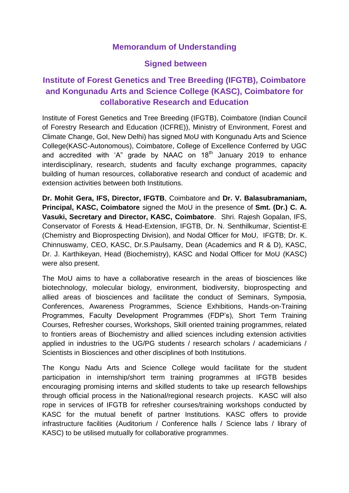## **Memorandum of Understanding**

## **Signed between**

## **Institute of Forest Genetics and Tree Breeding (IFGTB), Coimbatore and Kongunadu Arts and Science College (KASC), Coimbatore for collaborative Research and Education**

Institute of Forest Genetics and Tree Breeding (IFGTB), Coimbatore (Indian Council of Forestry Research and Education (ICFRE)), Ministry of Environment, Forest and Climate Change, GoI, New Delhi) has signed MoU with Kongunadu Arts and Science College(KASC-Autonomous), Coimbatore, College of Excellence Conferred by UGC and accredited with 'A" grade by NAAC on  $18<sup>th</sup>$  January 2019 to enhance interdisciplinary, research, students and faculty exchange programmes, capacity building of human resources, collaborative research and conduct of academic and extension activities between both Institutions.

**Dr. Mohit Gera, IFS, Director, IFGTB**, Coimbatore and **Dr. V. Balasubramaniam, Principal, KASC, Coimbatore** signed the MoU in the presence of **Smt. (Dr.) C. A. Vasuki, Secretary and Director, KASC, Coimbatore**. Shri. Rajesh Gopalan, IFS, Conservator of Forests & Head-Extension, IFGTB, Dr. N. Senthilkumar, Scientist-E (Chemistry and Bioprospecting Division), and Nodal Officer for MoU, IFGTB; Dr. K. Chinnuswamy, CEO, KASC, Dr.S.Paulsamy, Dean (Academics and R & D), KASC, Dr. J. Karthikeyan, Head (Biochemistry), KASC and Nodal Officer for MoU (KASC) were also present.

The MoU aims to have a collaborative research in the areas of biosciences like biotechnology, molecular biology, environment, biodiversity, bioprospecting and allied areas of biosciences and facilitate the conduct of Seminars, Symposia, Conferences, Awareness Programmes, Science Exhibitions, Hands-on-Training Programmes, Faculty Development Programmes (FDP's), Short Term Training Courses, Refresher courses, Workshops, Skill oriented training programmes, related to frontiers areas of Biochemistry and allied sciences including extension activities applied in industries to the UG/PG students / research scholars / academicians / Scientists in Biosciences and other disciplines of both Institutions.

The Kongu Nadu Arts and Science College would facilitate for the student participation in internship/short term training programmes at IFGTB besides encouraging promising interns and skilled students to take up research fellowships through official process in the National/regional research projects. KASC will also rope in services of IFGTB for refresher courses/training workshops conducted by KASC for the mutual benefit of partner Institutions. KASC offers to provide infrastructure facilities (Auditorium / Conference halls / Science labs / library of KASC) to be utilised mutually for collaborative programmes.